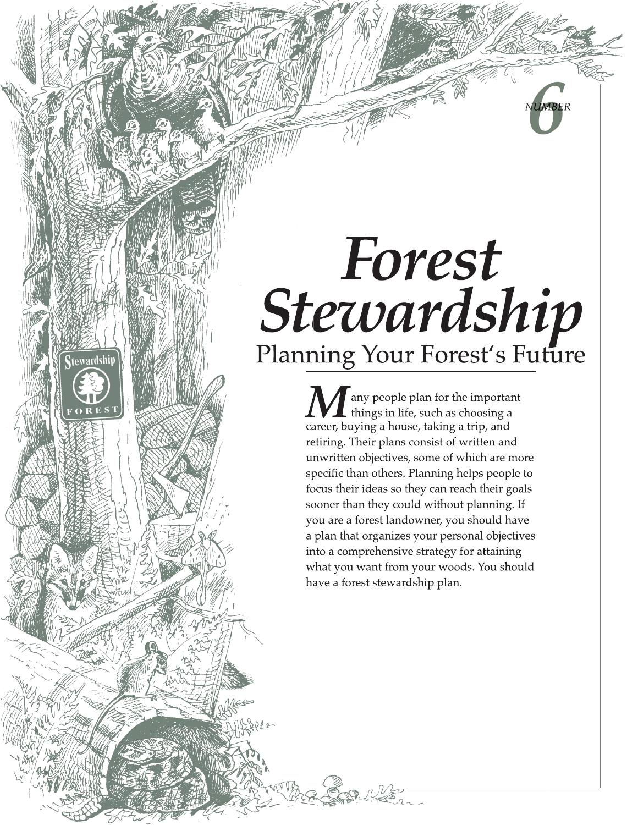# *Forest Stewardship*<br>Planning Your Forest's Future

**stewardship** 

**CONTRETE** 

*NUMBER*

career, buying a house, taking a trip, and retiring. Their plans consist of written and unwritten objectives, some of which are more specific than others. Planning helps people to focus their ideas so they can reach their goals sooner than they could without planning. If you are a forest landowner, you should have a plan that organizes your personal objectives into a comprehensive strategy for attaining what you want from your woods. You should have a forest stewardship plan. **M** any people plan for the important things in life, such as choosing a career, buying a house, taking a trip, and things in life, such as choosing a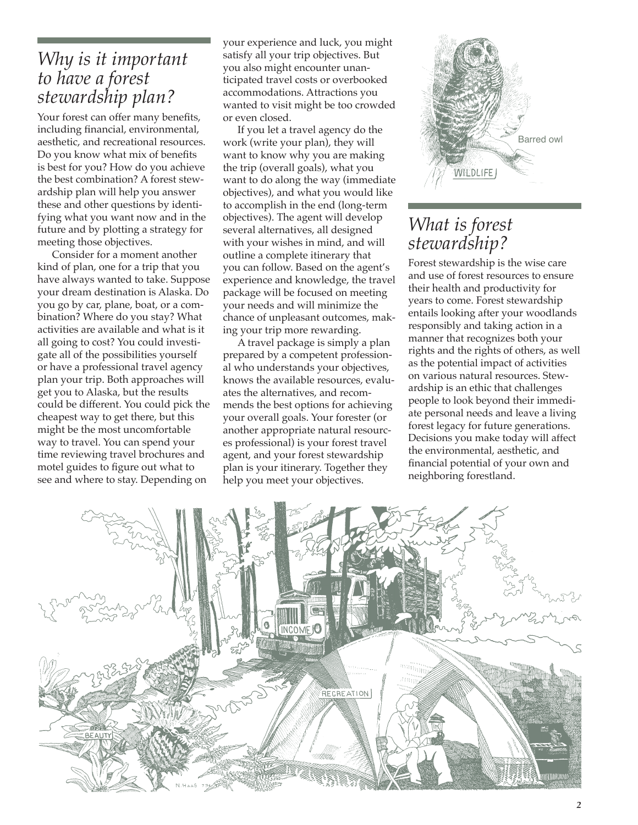#### *Why is it important to have a forest stewardship plan?*

Your forest can offer many benefits, including financial, environmental, aesthetic, and recreational resources. Do you know what mix of benefits is best for you? How do you achieve the best combination? A forest stewardship plan will help you answer these and other questions by identifying what you want now and in the future and by plotting a strategy for meeting those objectives.

Consider for a moment another kind of plan, one for a trip that you have always wanted to take. Suppose your dream destination is Alaska. Do you go by car, plane, boat, or a combination? Where do you stay? What activities are available and what is it all going to cost? You could investigate all of the possibilities yourself or have a professional travel agency plan your trip. Both approaches will get you to Alaska, but the results could be different. You could pick the cheapest way to get there, but this might be the most uncomfortable way to travel. You can spend your time reviewing travel brochures and motel guides to figure out what to see and where to stay. Depending on

your experience and luck, you might satisfy all your trip objectives. But you also might encounter unanticipated travel costs or overbooked accommodations. Attractions you wanted to visit might be too crowded or even closed.

If you let a travel agency do the work (write your plan), they will want to know why you are making the trip (overall goals), what you want to do along the way (immediate objectives), and what you would like to accomplish in the end (long-term objectives). The agent will develop several alternatives, all designed with your wishes in mind, and will outline a complete itinerary that you can follow. Based on the agent's experience and knowledge, the travel package will be focused on meeting your needs and will minimize the chance of unpleasant outcomes, making your trip more rewarding.

A travel package is simply a plan prepared by a competent professional who understands your objectives, knows the available resources, evaluates the alternatives, and recommends the best options for achieving your overall goals. Your forester (or another appropriate natural resources professional) is your forest travel agent, and your forest stewardship plan is your itinerary. Together they help you meet your objectives.



#### *What is forest stewardship?*

Forest stewardship is the wise care and use of forest resources to ensure their health and productivity for years to come. Forest stewardship entails looking after your woodlands responsibly and taking action in a manner that recognizes both your rights and the rights of others, as well as the potential impact of activities on various natural resources. Stewardship is an ethic that challenges people to look beyond their immediate personal needs and leave a living forest legacy for future generations. Decisions you make today will affect the environmental, aesthetic, and financial potential of your own and neighboring forestland.

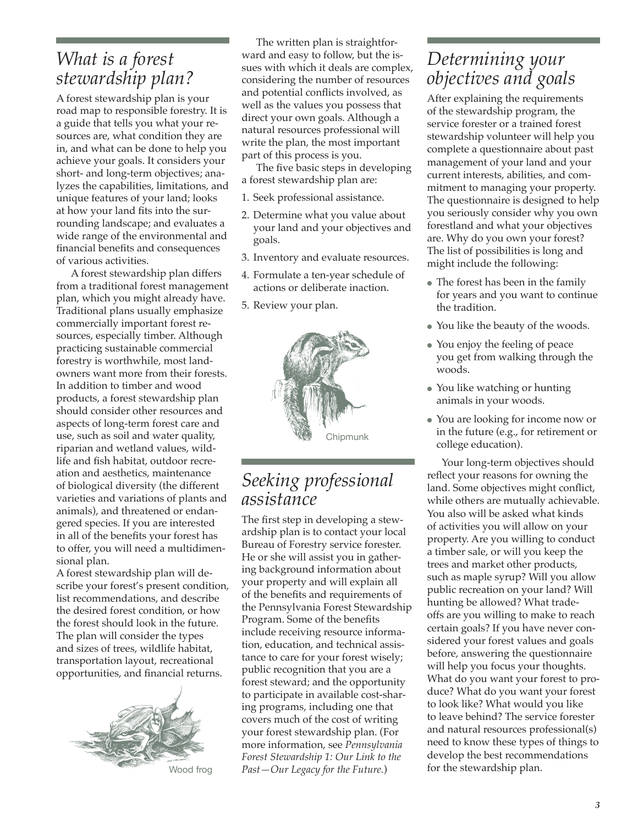#### *What is a forest stewardship plan?*

A forest stewardship plan is your road map to responsible forestry. It is a guide that tells you what your resources are, what condition they are in, and what can be done to help you achieve your goals. It considers your short- and long-term objectives; analyzes the capabilities, limitations, and unique features of your land; looks at how your land fits into the surrounding landscape; and evaluates a wide range of the environmental and financial benefits and consequences of various activities.

A forest stewardship plan differs from a traditional forest management plan, which you might already have. Traditional plans usually emphasize commercially important forest resources, especially timber. Although practicing sustainable commercial forestry is worthwhile, most landowners want more from their forests. In addition to timber and wood products, a forest stewardship plan should consider other resources and aspects of long-term forest care and use, such as soil and water quality, riparian and wetland values, wildlife and fish habitat, outdoor recreation and aesthetics, maintenance of biological diversity (the different varieties and variations of plants and animals), and threatened or endangered species. If you are interested in all of the benefits your forest has to offer, you will need a multidimensional plan.

A forest stewardship plan will describe your forest's present condition, list recommendations, and describe the desired forest condition, or how the forest should look in the future. The plan will consider the types and sizes of trees, wildlife habitat, transportation layout, recreational opportunities, and financial returns.



The written plan is straightforward and easy to follow, but the issues with which it deals are complex, considering the number of resources and potential conflicts involved, as well as the values you possess that direct your own goals. Although a natural resources professional will write the plan, the most important part of this process is you.

The five basic steps in developing a forest stewardship plan are:

- 1. Seek professional assistance.
- 2. Determine what you value about your land and your objectives and goals.
- 3. Inventory and evaluate resources.
- 4. Formulate a ten-year schedule of actions or deliberate inaction.
- 5. Review your plan.



#### *Seeking professional assistance*

The first step in developing a stewardship plan is to contact your local Bureau of Forestry service forester. He or she will assist you in gathering background information about your property and will explain all of the benefits and requirements of the Pennsylvania Forest Stewardship Program. Some of the benefits include receiving resource information, education, and technical assistance to care for your forest wisely; public recognition that you are a forest steward; and the opportunity to participate in available cost-sharing programs, including one that covers much of the cost of writing your forest stewardship plan. (For more information, see *Pennsylvania Forest Stewardship 1: Our Link to the Past—Our Legacy for the Future.*)

#### *Determining your objectives and goals*

After explaining the requirements of the stewardship program, the service forester or a trained forest stewardship volunteer will help you complete a questionnaire about past management of your land and your current interests, abilities, and commitment to managing your property. The questionnaire is designed to help you seriously consider why you own forestland and what your objectives are. Why do you own your forest? The list of possibilities is long and might include the following:

- The forest has been in the family for years and you want to continue the tradition.
- You like the beauty of the woods.
- You enjoy the feeling of peace you get from walking through the woods.
- You like watching or hunting animals in your woods.
- You are looking for income now or in the future (e.g., for retirement or college education).

Your long-term objectives should reflect your reasons for owning the land. Some objectives might conflict, while others are mutually achievable. You also will be asked what kinds of activities you will allow on your property. Are you willing to conduct a timber sale, or will you keep the trees and market other products, such as maple syrup? Will you allow public recreation on your land? Will hunting be allowed? What tradeoffs are you willing to make to reach certain goals? If you have never considered your forest values and goals before, answering the questionnaire will help you focus your thoughts. What do you want your forest to produce? What do you want your forest to look like? What would you like to leave behind? The service forester and natural resources professional(s) need to know these types of things to develop the best recommendations for the stewardship plan.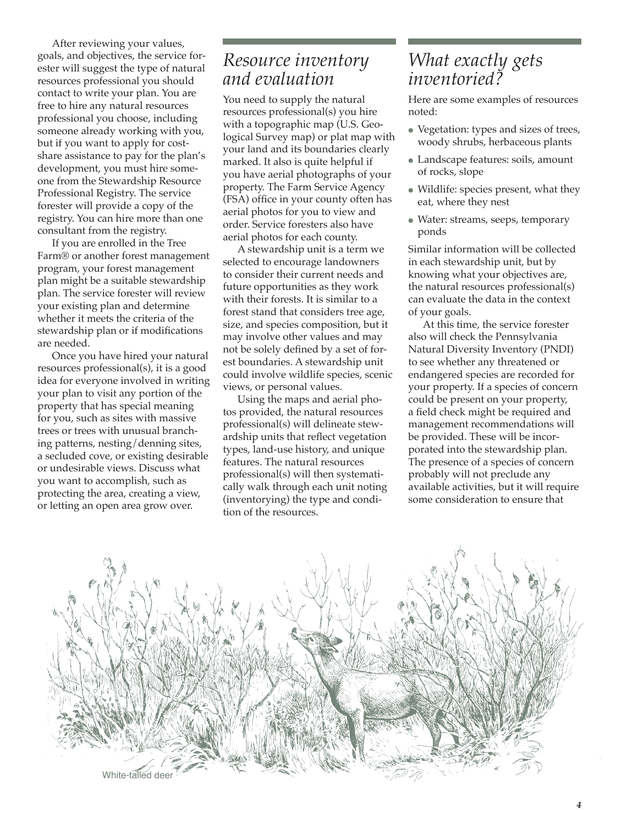After reviewing your values, goals, and objectives, the service forester will suggest the type of natural resources professional you should contact to write your plan. You are free to hire any natural resources professional you choose, including someone already working with you, but if you want to apply for costshare assistance to pay for the plan's development, you must hire someone from the Stewardship Resource Professional Registry. The service forester will provide a copy of the registry. You can hire more than one consultant from the registry.

If you are enrolled in the Tree Farm® or another forest management program, your forest management plan might be a suitable stewardship plan. The service forester will review your existing plan and determine whether it meets the criteria of the stewardship plan or if modifications are needed.

Once you have hired your natural resources professional(s), it is a good idea for everyone involved in writing your plan to visit any portion of the property that has special meaning for you, such as sites with massive trees or trees with unusual branching patterns, nesting/denning sites, a secluded cove, or existing desirable or undesirable views. Discuss what you want to accomplish, such as protecting the area, creating a view, or letting an open area grow over.

#### *Resource inventory and evaluation*

You need to supply the natural resources professional(s) you hire with a topographic map (U.S. Geological Survey map) or plat map with your land and its boundaries clearly marked. It also is quite helpful if you have aerial photographs of your property. The Farm Service Agency (FSA) office in your county often has aerial photos for you to view and order. Service foresters also have aerial photos for each county.

A stewardship unit is a term we selected to encourage landowners to consider their current needs and future opportunities as they work with their forests. It is similar to a forest stand that considers tree age, size, and species composition, but it may involve other values and may not be solely defined by a set of forest boundaries. A stewardship unit could involve wildlife species, scenic views, or personal values.

Using the maps and aerial photos provided, the natural resources professional(s) will delineate stewardship units that reflect vegetation types, land-use history, and unique features. The natural resources professional(s) will then systematically walk through each unit noting (inventorying) the type and condition of the resources.

#### *What exactly gets inventoried?*

Here are some examples of resources noted:

- Vegetation: types and sizes of trees, woody shrubs, herbaceous plants
- Landscape features: soils, amount of rocks, slope
- Wildlife: species present, what they eat, where they nest
- Water: streams, seeps, temporary ponds

Similar information will be collected in each stewardship unit, but by knowing what your objectives are, the natural resources professional(s) can evaluate the data in the context of your goals.

At this time, the service forester also will check the Pennsylvania Natural Diversity Inventory (PNDI) to see whether any threatened or endangered species are recorded for your property. If a species of concern could be present on your property, a field check might be required and management recommendations will be provided. These will be incorporated into the stewardship plan. The presence of a species of concern probably will not preclude any available activities, but it will require some consideration to ensure that

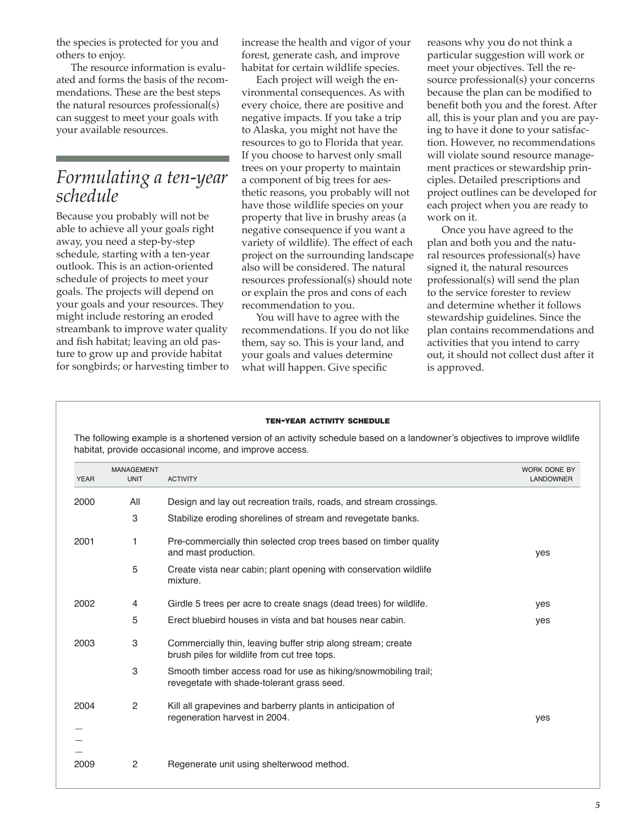the species is protected for you and others to enjoy.

The resource information is evaluated and forms the basis of the recommendations. These are the best steps the natural resources professional(s) can suggest to meet your goals with your available resources.

#### *Formulating a ten-year schedule*

Because you probably will not be able to achieve all your goals right away, you need a step-by-step schedule, starting with a ten-year outlook. This is an action-oriented schedule of projects to meet your goals. The projects will depend on your goals and your resources. They might include restoring an eroded streambank to improve water quality and fish habitat; leaving an old pasture to grow up and provide habitat for songbirds; or harvesting timber to increase the health and vigor of your forest, generate cash, and improve habitat for certain wildlife species.

Each project will weigh the environmental consequences. As with every choice, there are positive and negative impacts. If you take a trip to Alaska, you might not have the resources to go to Florida that year. If you choose to harvest only small trees on your property to maintain a component of big trees for aesthetic reasons, you probably will not have those wildlife species on your property that live in brushy areas (a negative consequence if you want a variety of wildlife). The effect of each project on the surrounding landscape also will be considered. The natural resources professional(s) should note or explain the pros and cons of each recommendation to you.

You will have to agree with the recommendations. If you do not like them, say so. This is your land, and your goals and values determine what will happen. Give specific

reasons why you do not think a particular suggestion will work or meet your objectives. Tell the resource professional(s) your concerns because the plan can be modified to benefit both you and the forest. After all, this is your plan and you are paying to have it done to your satisfaction. However, no recommendations will violate sound resource management practices or stewardship principles. Detailed prescriptions and project outlines can be developed for each project when you are ready to work on it.

Once you have agreed to the plan and both you and the natural resources professional(s) have signed it, the natural resources professional(s) will send the plan to the service forester to review and determine whether it follows stewardship guidelines. Since the plan contains recommendations and activities that you intend to carry out, it should not collect dust after it is approved.

#### TEN-YEAR ACTIVITY SCHEDULE

The following example is a shortened version of an activity schedule based on a landowner's objectives to improve wildlife habitat, provide occasional income, and improve access.

| <b>YEAR</b> | <b>MANAGEMENT</b><br><b>UNIT</b> | <b>ACTIVITY</b>                                                                                               | WORK DONE BY<br>LANDOWNER |
|-------------|----------------------------------|---------------------------------------------------------------------------------------------------------------|---------------------------|
|             |                                  |                                                                                                               |                           |
| 2000        | All                              | Design and lay out recreation trails, roads, and stream crossings.                                            |                           |
|             | 3                                | Stabilize eroding shorelines of stream and revegetate banks.                                                  |                           |
| 2001        | 1                                | Pre-commercially thin selected crop trees based on timber quality<br>and mast production.                     | yes                       |
|             | 5                                | Create vista near cabin; plant opening with conservation wildlife<br>mixture.                                 |                           |
| 2002        | 4                                | Girdle 5 trees per acre to create snags (dead trees) for wildlife.                                            | yes                       |
|             | 5                                | Erect bluebird houses in vista and bat houses near cabin.                                                     | yes                       |
| 2003        | 3                                | Commercially thin, leaving buffer strip along stream; create<br>brush piles for wildlife from cut tree tops.  |                           |
|             | 3                                | Smooth timber access road for use as hiking/snowmobiling trail;<br>revegetate with shade-tolerant grass seed. |                           |
| 2004        | 2                                | Kill all grapevines and barberry plants in anticipation of<br>regeneration harvest in 2004.                   | yes                       |
|             |                                  |                                                                                                               |                           |
|             |                                  |                                                                                                               |                           |
| 2009        | $\overline{c}$                   | Regenerate unit using shelterwood method.                                                                     |                           |